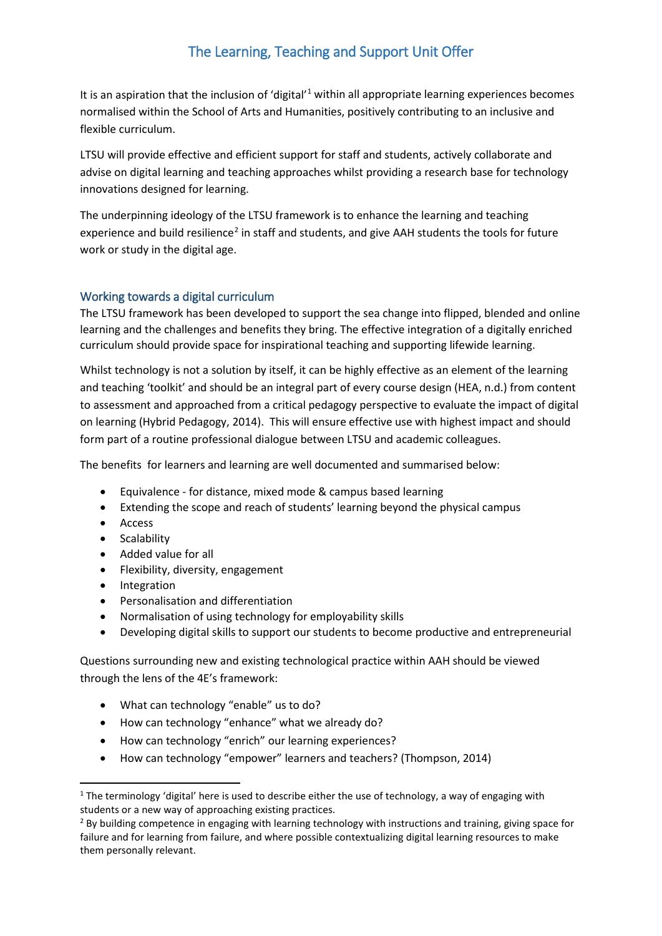# The Learning, Teaching and Support Unit Offer

It is an aspiration that the inclusion of 'digital'<sup>[1](#page-0-0)</sup> within all appropriate learning experiences becomes normalised within the School of Arts and Humanities, positively contributing to an inclusive and flexible curriculum.

LTSU will provide effective and efficient support for staff and students, actively collaborate and advise on digital learning and teaching approaches whilst providing a research base for technology innovations designed for learning.

The underpinning ideology of the LTSU framework is to enhance the learning and teaching experience and build resilience<sup>[2](#page-0-1)</sup> in staff and students, and give AAH students the tools for future work or study in the digital age.

## Working towards a digital curriculum

The LTSU framework has been developed to support the sea change into flipped, blended and online learning and the challenges and benefits they bring. The effective integration of a digitally enriched curriculum should provide space for inspirational teaching and supporting lifewide learning.

Whilst technology is not a solution by itself, it can be highly effective as an element of the learning and teaching 'toolkit' and should be an integral part of every course design (HEA, n.d.) from content to assessment and approached from a critical pedagogy perspective to evaluate the impact of digital on learning (Hybrid Pedagogy, 2014). This will ensure effective use with highest impact and should form part of a routine professional dialogue between LTSU and academic colleagues.

The benefits for learners and learning are well documented and summarised below:

- Equivalence for distance, mixed mode & campus based learning
- Extending the scope and reach of students' learning beyond the physical campus
- Access
- Scalability
- Added value for all
- Flexibility, diversity, engagement
- Integration
- Personalisation and differentiation
- Normalisation of using technology for employability skills
- Developing digital skills to support our students to become productive and entrepreneurial

Questions surrounding new and existing technological practice within AAH should be viewed through the lens of the 4E's framework:

- What can technology "enable" us to do?
- How can technology "enhance" what we already do?
- How can technology "enrich" our learning experiences?
- How can technology "empower" learners and teachers? (Thompson, 2014)

<span id="page-0-0"></span><sup>&</sup>lt;sup>1</sup> The terminology 'digital' here is used to describe either the use of technology, a way of engaging with students or a new way of approaching existing practices.

<span id="page-0-1"></span><sup>&</sup>lt;sup>2</sup> By building competence in engaging with learning technology with instructions and training, giving space for failure and for learning from failure, and where possible contextualizing digital learning resources to make them personally relevant.